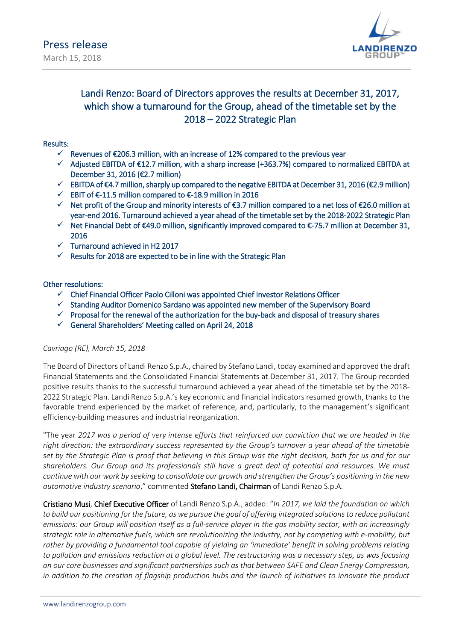

## Landi Renzo: Board of Directors approves the results at December 31, 2017, which show a turnaround for the Group, ahead of the timetable set by the 2018 – 2022 Strategic Plan

#### Results:

- $\checkmark$  Revenues of €206.3 million, with an increase of 12% compared to the previous year
- $\checkmark$  Adjusted EBITDA of €12.7 million, with a sharp increase (+363.7%) compared to normalized EBITDA at December 31, 2016 (€2.7 million)
- $\checkmark$  EBITDA of €4.7 million, sharply up compared to the negative EBITDA at December 31, 2016 (€2.9 million)
- EBIT of €-11.5 million compared to €-18.9 million in 2016
- $\checkmark$  Net profit of the Group and minority interests of €3.7 million compared to a net loss of €26.0 million at year-end 2016. Turnaround achieved a year ahead of the timetable set by the 2018-2022 Strategic Plan
- $\checkmark$  Net Financial Debt of €49.0 million, significantly improved compared to €-75.7 million at December 31, 2016
- $\checkmark$  Turnaround achieved in H2 2017
- Results for 2018 are expected to be in line with the Strategic Plan

### Other resolutions:

- $\checkmark$  Chief Financial Officer Paolo Cilloni was appointed Chief Investor Relations Officer
- $\checkmark$  Standing Auditor Domenico Sardano was appointed new member of the Supervisory Board
- $\checkmark$  Proposal for the renewal of the authorization for the buy-back and disposal of treasury shares
- $\checkmark$  General Shareholders' Meeting called on April 24, 2018

#### *Cavriago (RE), March 15, 2018*

The Board of Directors of Landi Renzo S.p.A., chaired by Stefano Landi, today examined and approved the draft Financial Statements and the Consolidated Financial Statements at December 31, 2017. The Group recorded positive results thanks to the successful turnaround achieved a year ahead of the timetable set by the 2018- 2022 Strategic Plan. Landi Renzo S.p.A.'s key economic and financial indicators resumed growth, thanks to the favorable trend experienced by the market of reference, and, particularly, to the management's significant efficiency-building measures and industrial reorganization.

"The year *2017 was a period of very intense efforts that reinforced our conviction that we are headed in the right direction: the extraordinary success represented by the Group's turnover a year ahead of the timetable set by the Strategic Plan is proof that believing in this Group was the right decision, both for us and for our shareholders. Our Group and its professionals still have a great deal of potential and resources. We must continue with our work by seeking to consolidate our growth and strengthen the Group's positioning in the new automotive industry scenario*," commented Stefano Landi, Chairman of Landi Renzo S.p.A.

Cristiano Musi, Chief Executive Officer of Landi Renzo S.p.A., added: "*In 2017, we laid the foundation on which to build our positioning for the future, as we pursue the goal of offering integrated solutions to reduce pollutant emissions: our Group will position itself as a full-service player in the gas mobility sector, with an increasingly strategic role in alternative fuels, which are revolutionizing the industry, not by competing with e-mobility, but rather by providing a fundamental tool capable of yielding an 'immediate' benefit in solving problems relating*  to pollution and emissions reduction at a global level. The restructuring was a necessary step, as was focusing *on our core businesses and significant partnerships such as that between SAFE and Clean Energy Compression, in addition to the creation of flagship production hubs and the launch of initiatives to innovate the product*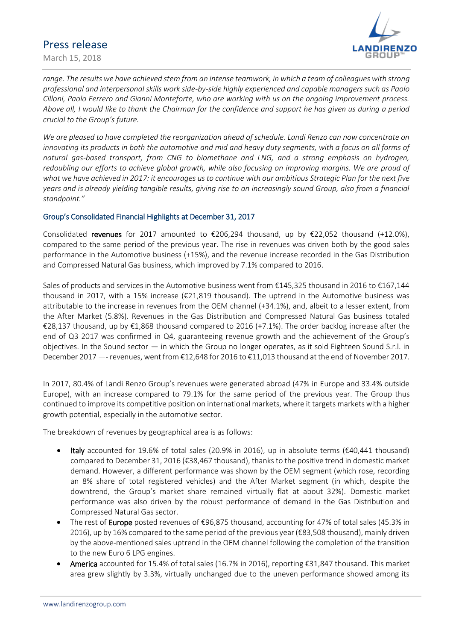March 15, 2018



range. The results we have achieved stem from an intense teamwork, in which a team of colleagues with strong *professional and interpersonal skills work side-by-side highly experienced and capable managers such as Paolo Cilloni, Paolo Ferrero and Gianni Monteforte, who are working with us on the ongoing improvement process. Above all, I would like to thank the Chairman for the confidence and support he has given us during a period crucial to the Group's future.* 

*We are pleased to have completed the reorganization ahead of schedule. Landi Renzo can now concentrate on*  innovating its products in both the automotive and mid and heavy duty segments, with a focus on all forms of *natural gas-based transport, from CNG to biomethane and LNG, and a strong emphasis on hydrogen, redoubling our efforts to achieve global growth, while also focusing on improving margins. We are proud of what we have achieved in 2017: it encourages us to continue with our ambitious Strategic Plan for the next five years and is already yielding tangible results, giving rise to an increasingly sound Group, also from a financial standpoint."*

#### Group's Consolidated Financial Highlights at December 31, 2017

Consolidated revenues for 2017 amounted to  $\epsilon$ 206,294 thousand, up by  $\epsilon$ 22,052 thousand (+12.0%), compared to the same period of the previous year. The rise in revenues was driven both by the good sales performance in the Automotive business (+15%), and the revenue increase recorded in the Gas Distribution and Compressed Natural Gas business, which improved by 7.1% compared to 2016.

Sales of products and services in the Automotive business went from €145,325 thousand in 2016 to €167,144 thousand in 2017, with a 15% increase (€21,819 thousand). The uptrend in the Automotive business was attributable to the increase in revenues from the OEM channel (+34.1%), and, albeit to a lesser extent, from the After Market (5.8%). Revenues in the Gas Distribution and Compressed Natural Gas business totaled €28,137 thousand, up by €1,868 thousand compared to 2016 (+7.1%). The order backlog increase after the end of Q3 2017 was confirmed in Q4, guaranteeing revenue growth and the achievement of the Group's objectives. In the Sound sector — in which the Group no longer operates, as it sold Eighteen Sound S.r.l. in December 2017 —- revenues, went from €12,648 for 2016 to €11,013 thousand at the end of November 2017.

In 2017, 80.4% of Landi Renzo Group's revenues were generated abroad (47% in Europe and 33.4% outside Europe), with an increase compared to 79.1% for the same period of the previous year. The Group thus continued to improve its competitive position on international markets, where it targets markets with a higher growth potential, especially in the automotive sector.

The breakdown of revenues by geographical area is as follows:

- **Italy** accounted for 19.6% of total sales (20.9% in 2016), up in absolute terms (€40,441 thousand) compared to December 31, 2016 (€38,467 thousand), thanks to the positive trend in domestic market demand. However, a different performance was shown by the OEM segment (which rose, recording an 8% share of total registered vehicles) and the After Market segment (in which, despite the downtrend, the Group's market share remained virtually flat at about 32%). Domestic market performance was also driven by the robust performance of demand in the Gas Distribution and Compressed Natural Gas sector.
- The rest of Europe posted revenues of €96,875 thousand, accounting for 47% of total sales (45.3% in 2016), up by 16% compared to the same period of the previous year ( $\epsilon$ 83,508 thousand), mainly driven by the above-mentioned sales uptrend in the OEM channel following the completion of the transition to the new Euro 6 LPG engines.
- America accounted for 15.4% of total sales (16.7% in 2016), reporting €31,847 thousand. This market area grew slightly by 3.3%, virtually unchanged due to the uneven performance showed among its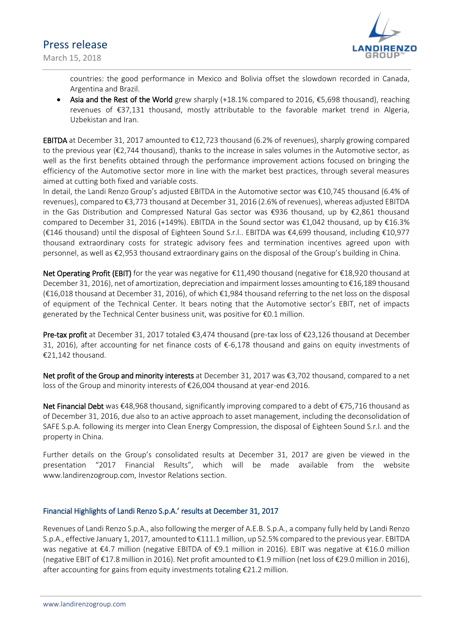March 15, 2018



countries: the good performance in Mexico and Bolivia offset the slowdown recorded in Canada, Argentina and Brazil.

• Asia and the Rest of the World grew sharply  $(+18.1\%$  compared to 2016, €5,698 thousand), reaching revenues of €37,131 thousand, mostly attributable to the favorable market trend in Algeria, Uzbekistan and Iran.

**EBITDA** at December 31, 2017 amounted to  $\epsilon$ 12,723 thousand (6.2% of revenues), sharply growing compared to the previous year (€2,744 thousand), thanks to the increase in sales volumes in the Automotive sector, as well as the first benefits obtained through the performance improvement actions focused on bringing the efficiency of the Automotive sector more in line with the market best practices, through several measures aimed at cutting both fixed and variable costs.

In detail, the Landi Renzo Group's adjusted EBITDA in the Automotive sector was €10,745 thousand (6.4% of revenues), compared to €3,773 thousand at December 31, 2016 (2.6% of revenues), whereas adjusted EBITDA in the Gas Distribution and Compressed Natural Gas sector was €936 thousand, up by €2,861 thousand compared to December 31, 2016 (+149%). EBITDA in the Sound sector was  $\epsilon$ 1,042 thousand, up by  $\epsilon$ 16.3% (€146 thousand) until the disposal of Eighteen Sound S.r.l.. EBITDA was €4,699 thousand, including €10,977 thousand extraordinary costs for strategic advisory fees and termination incentives agreed upon with personnel, as well as €2,953 thousand extraordinary gains on the disposal of the Group's building in China.

Net Operating Profit (EBIT) for the year was negative for €11,490 thousand (negative for €18,920 thousand at December 31, 2016), net of amortization, depreciation and impairment losses amounting to €16,189 thousand (€16,018 thousand at December 31, 2016), of which €1,984 thousand referring to the net loss on the disposal of equipment of the Technical Center. It bears noting that the Automotive sector's EBIT, net of impacts generated by the Technical Center business unit, was positive for €0.1 million.

Pre-tax profit at December 31, 2017 totaled €3,474 thousand (pre-tax loss of €23,126 thousand at December 31, 2016), after accounting for net finance costs of €-6,178 thousand and gains on equity investments of €21,142 thousand.

Net profit of the Group and minority interests at December 31, 2017 was €3,702 thousand, compared to a net loss of the Group and minority interests of €26,004 thousand at year-end 2016.

Net Financial Debt was €48,968 thousand, significantly improving compared to a debt of €75,716 thousand as of December 31, 2016, due also to an active approach to asset management, including the deconsolidation of SAFE S.p.A. following its merger into Clean Energy Compression, the disposal of Eighteen Sound S.r.l. and the property in China.

Further details on the Group's consolidated results at December 31, 2017 are given be viewed in the presentation "2017 Financial Results", which will be made available from the website www.landirenzogroup.com, Investor Relations section.

### Financial Highlights of Landi Renzo S.p.A.' results at December 31, 2017

Revenues of Landi Renzo S.p.A., also following the merger of A.E.B. S.p.A., a company fully held by Landi Renzo S.p.A., effective January 1, 2017, amounted to €111.1 million, up 52.5% compared to the previous year. EBITDA was negative at €4.7 million (negative EBITDA of €9.1 million in 2016). EBIT was negative at €16.0 million (negative EBIT of €17.8 million in 2016). Net profit amounted to €1.9 million (net loss of €29.0 million in 2016), after accounting for gains from equity investments totaling €21.2 million.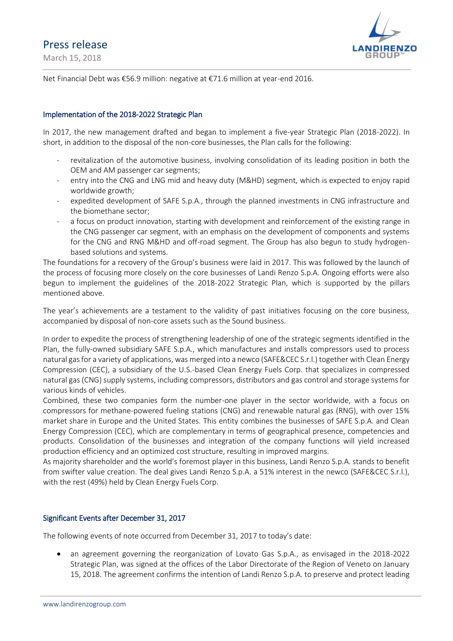March 15, 2018



Net Financial Debt was €56.9 million: negative at €71.6 million at year-end 2016.

#### Implementation of the 2018-2022 Strategic Plan

In 2017, the new management drafted and began to implement a five-year Strategic Plan (2018-2022). In short, in addition to the disposal of the non-core businesses, the Plan calls for the following:

- revitalization of the automotive business, involving consolidation of its leading position in both the OEM and AM passenger car segments;
- entry into the CNG and LNG mid and heavy duty (M&HD) segment, which is expected to enjoy rapid worldwide growth;
- expedited development of SAFE S.p.A., through the planned investments in CNG infrastructure and the biomethane sector;
- a focus on product innovation, starting with development and reinforcement of the existing range in the CNG passenger car segment, with an emphasis on the development of components and systems for the CNG and RNG M&HD and off-road segment. The Group has also begun to study hydrogenbased solutions and systems.

The foundations for a recovery of the Group's business were laid in 2017. This was followed by the launch of the process of focusing more closely on the core businesses of Landi Renzo S.p.A. Ongoing efforts were also begun to implement the guidelines of the 2018-2022 Strategic Plan, which is supported by the pillars mentioned above.

The year's achievements are a testament to the validity of past initiatives focusing on the core business, accompanied by disposal of non-core assets such as the Sound business.

In order to expedite the process of strengthening leadership of one of the strategic segments identified in the Plan, the fully-owned subsidiary SAFE S.p.A., which manufactures and installs compressors used to process natural gas for a variety of applications, was merged into a newco (SAFE&CEC S.r.l.) together with Clean Energy Compression (CEC), a subsidiary of the U.S.-based Clean Energy Fuels Corp. that specializes in compressed natural gas (CNG) supply systems, including compressors, distributors and gas control and storage systems for various kinds of vehicles.

Combined, these two companies form the number-one player in the sector worldwide, with a focus on compressors for methane-powered fueling stations (CNG) and renewable natural gas (RNG), with over 15% market share in Europe and the United States. This entity combines the businesses of SAFE S.p.A. and Clean Energy Compression (CEC), which are complementary in terms of geographical presence, competencies and products. Consolidation of the businesses and integration of the company functions will yield increased production efficiency and an optimized cost structure, resulting in improved margins.

As majority shareholder and the world's foremost player in this business, Landi Renzo S.p.A. stands to benefit from swifter value creation. The deal gives Landi Renzo S.p.A. a 51% interest in the newco (SAFE&CEC S.r.l.), with the rest (49%) held by Clean Energy Fuels Corp.

#### Significant Events after December 31, 2017

The following events of note occurred from December 31, 2017 to today's date:

 an agreement governing the reorganization of Lovato Gas S.p.A., as envisaged in the 2018-2022 Strategic Plan, was signed at the offices of the Labor Directorate of the Region of Veneto on January 15, 2018. The agreement confirms the intention of Landi Renzo S.p.A. to preserve and protect leading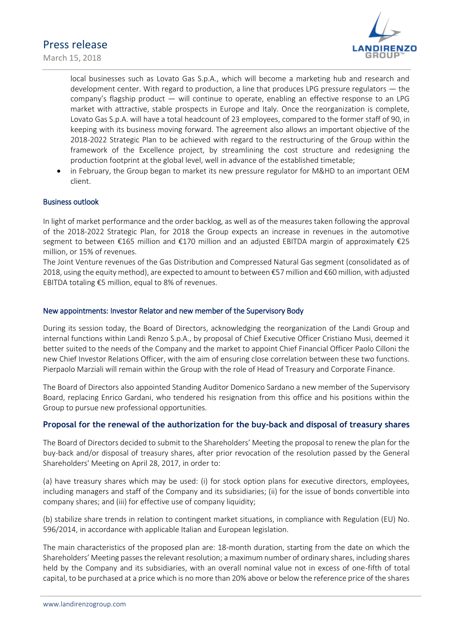March 15, 2018



local businesses such as Lovato Gas S.p.A., which will become a marketing hub and research and development center. With regard to production, a line that produces LPG pressure regulators — the company's flagship product — will continue to operate, enabling an effective response to an LPG market with attractive, stable prospects in Europe and Italy. Once the reorganization is complete, Lovato Gas S.p.A. will have a total headcount of 23 employees, compared to the former staff of 90, in keeping with its business moving forward. The agreement also allows an important objective of the 2018-2022 Strategic Plan to be achieved with regard to the restructuring of the Group within the framework of the Excellence project, by streamlining the cost structure and redesigning the production footprint at the global level, well in advance of the established timetable;

 in February, the Group began to market its new pressure regulator for M&HD to an important OEM client.

### Business outlook

In light of market performance and the order backlog, as well as of the measures taken following the approval of the 2018-2022 Strategic Plan, for 2018 the Group expects an increase in revenues in the automotive segment to between €165 million and €170 million and an adjusted EBITDA margin of approximately €25 million, or 15% of revenues.

The Joint Venture revenues of the Gas Distribution and Compressed Natural Gas segment (consolidated as of 2018, using the equity method), are expected to amount to between €57 million and €60 million, with adjusted EBITDA totaling €5 million, equal to 8% of revenues.

#### New appointments: Investor Relator and new member of the Supervisory Body

During its session today, the Board of Directors, acknowledging the reorganization of the Landi Group and internal functions within Landi Renzo S.p.A., by proposal of Chief Executive Officer Cristiano Musi, deemed it better suited to the needs of the Company and the market to appoint Chief Financial Officer Paolo Cilloni the new Chief Investor Relations Officer, with the aim of ensuring close correlation between these two functions. Pierpaolo Marziali will remain within the Group with the role of Head of Treasury and Corporate Finance.

The Board of Directors also appointed Standing Auditor Domenico Sardano a new member of the Supervisory Board, replacing Enrico Gardani, who tendered his resignation from this office and his positions within the Group to pursue new professional opportunities.

#### **Proposal for the renewal of the authorization for the buy-back and disposal of treasury shares**

The Board of Directors decided to submit to the Shareholders' Meeting the proposal to renew the plan for the buy-back and/or disposal of treasury shares, after prior revocation of the resolution passed by the General Shareholders' Meeting on April 28, 2017, in order to:

(a) have treasury shares which may be used: (i) for stock option plans for executive directors, employees, including managers and staff of the Company and its subsidiaries; (ii) for the issue of bonds convertible into company shares; and (iii) for effective use of company liquidity;

(b) stabilize share trends in relation to contingent market situations, in compliance with Regulation (EU) No. 596/2014, in accordance with applicable Italian and European legislation.

The main characteristics of the proposed plan are: 18-month duration, starting from the date on which the Shareholders' Meeting passes the relevant resolution; a maximum number of ordinary shares, including shares held by the Company and its subsidiaries, with an overall nominal value not in excess of one-fifth of total capital, to be purchased at a price which is no more than 20% above or below the reference price of the shares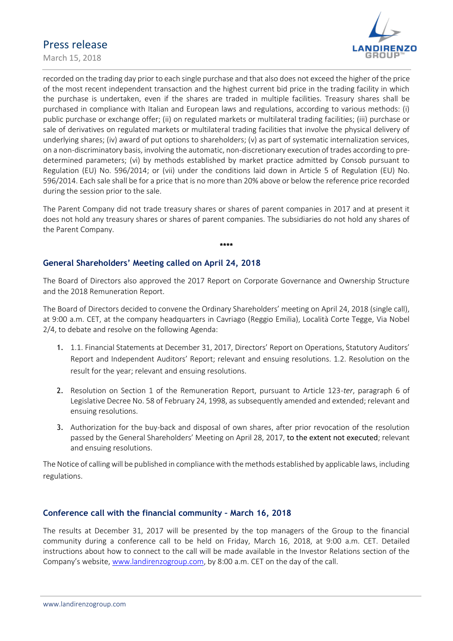March 15, 2018



recorded on the trading day prior to each single purchase and that also does not exceed the higher of the price of the most recent independent transaction and the highest current bid price in the trading facility in which the purchase is undertaken, even if the shares are traded in multiple facilities. Treasury shares shall be purchased in compliance with Italian and European laws and regulations, according to various methods: (i) public purchase or exchange offer; (ii) on regulated markets or multilateral trading facilities; (iii) purchase or sale of derivatives on regulated markets or multilateral trading facilities that involve the physical delivery of underlying shares; (iv) award of put options to shareholders; (v) as part of systematic internalization services, on a non-discriminatory basis, involving the automatic, non-discretionary execution of trades according to predetermined parameters; (vi) by methods established by market practice admitted by Consob pursuant to Regulation (EU) No. 596/2014; or (vii) under the conditions laid down in Article 5 of Regulation (EU) No. 596/2014. Each sale shall be for a price that is no more than 20% above or below the reference price recorded during the session prior to the sale.

The Parent Company did not trade treasury shares or shares of parent companies in 2017 and at present it does not hold any treasury shares or shares of parent companies. The subsidiaries do not hold any shares of the Parent Company.

**\*\*\*\***

### **General Shareholders' Meeting called on April 24, 2018**

The Board of Directors also approved the 2017 Report on Corporate Governance and Ownership Structure and the 2018 Remuneration Report.

The Board of Directors decided to convene the Ordinary Shareholders' meeting on April 24, 2018 (single call), at 9:00 a.m. CET, at the company headquarters in Cavriago (Reggio Emilia), Località Corte Tegge, Via Nobel 2/4, to debate and resolve on the following Agenda:

- 1. 1.1. Financial Statements at December 31, 2017, Directors' Report on Operations, Statutory Auditors' Report and Independent Auditors' Report; relevant and ensuing resolutions. 1.2. Resolution on the result for the year; relevant and ensuing resolutions.
- 2. Resolution on Section 1 of the Remuneration Report, pursuant to Article 123-*ter*, paragraph 6 of Legislative Decree No. 58 of February 24, 1998, as subsequently amended and extended; relevant and ensuing resolutions.
- 3. Authorization for the buy-back and disposal of own shares, after prior revocation of the resolution passed by the General Shareholders' Meeting on April 28, 2017, to the extent not executed; relevant and ensuing resolutions.

The Notice of calling will be published in compliance with the methods established by applicable laws, including regulations.

### **Conference call with the financial community – March 16, 2018**

The results at December 31, 2017 will be presented by the top managers of the Group to the financial community during a conference call to be held on Friday, March 16, 2018, at 9:00 a.m. CET. Detailed instructions about how to connect to the call will be made available in the Investor Relations section of the Company's website, [www.landirenzogroup.com,](http://www.landirenzogroup.com/) by 8:00 a.m. CET on the day of the call.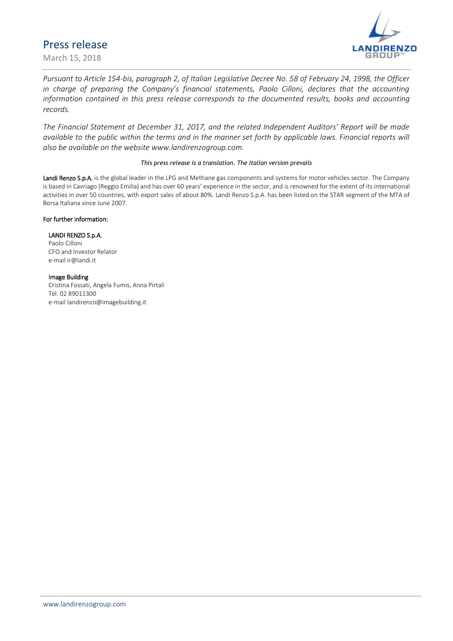March 15, 2018



*Pursuant to Article 154-bis, paragraph 2, of Italian Legislative Decree No. 58 of February 24, 1998, the Officer in charge of preparing the Company's financial statements, Paolo Cilloni, declares that the accounting information contained in this press release corresponds to the documented results, books and accounting records.*

*The Financial Statement at December 31, 2017, and the related Independent Auditors' Report will be made available to the public within the terms and in the manner set forth by applicable laws. Financial reports will also be available on the website www.landirenzogroup.com.*

#### *This press release is a translation. The Italian version prevails*

Landi Renzo S.p.A. is the global leader in the LPG and Methane gas components and systems for motor vehicles sector. The Company is based in Cavriago (Reggio Emilia) and has over 60 years' experience in the sector, and is renowned for the extent of its international activities in over 50 countries, with export sales of about 80%. Landi Renzo S.p.A. has been listed on the STAR segment of the MTA of Borsa Italiana since June 2007.

#### For further information:

#### LANDI RENZO S.p.A.

Paolo Cilloni CFO and Investor Relator e-mai[l ir@landi.it](mailto:ir@landi.it)

#### Image Building

Cristina Fossati, Angela Fumis, Anna Pirtali Tel. 02 89011300 e-mail landirenzo@imagebuilding.it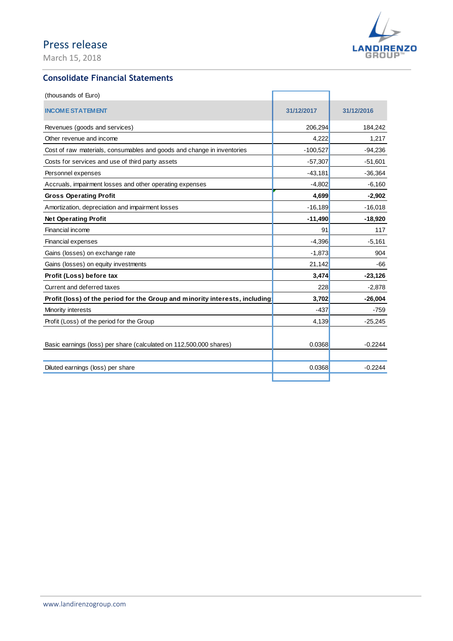March 15, 2018



### **Consolidate Financial Statements**

| (thousands of Euro)                                                         |            |            |
|-----------------------------------------------------------------------------|------------|------------|
| <b>INCOME STATEMENT</b>                                                     | 31/12/2017 | 31/12/2016 |
| Revenues (goods and services)                                               | 206,294    | 184,242    |
| Other revenue and income                                                    | 4,222      | 1,217      |
| Cost of raw materials, consumables and goods and change in inventories      | $-100,527$ | $-94,236$  |
| Costs for services and use of third party assets                            | $-57,307$  | $-51,601$  |
| Personnel expenses                                                          | $-43,181$  | $-36,364$  |
| Accruals, impairment losses and other operating expenses                    | $-4,802$   | $-6,160$   |
| <b>Gross Operating Profit</b>                                               | 4,699      | $-2,902$   |
| Amortization, depreciation and impairment losses                            | $-16,189$  | $-16,018$  |
| <b>Net Operating Profit</b>                                                 | $-11,490$  | $-18,920$  |
| Financial income                                                            | 91         | 117        |
| Financial expenses                                                          | $-4,396$   | $-5,161$   |
| Gains (losses) on exchange rate                                             | $-1,873$   | 904        |
| Gains (losses) on equity investments                                        | 21,142     | $-66$      |
| Profit (Loss) before tax                                                    | 3,474      | $-23,126$  |
| Current and deferred taxes                                                  | 228        | $-2,878$   |
| Profit (loss) of the period for the Group and minority interests, including | 3,702      | $-26,004$  |
| Minority interests                                                          | $-437$     | $-759$     |
| Profit (Loss) of the period for the Group                                   | 4,139      | $-25,245$  |
| Basic earnings (loss) per share (calculated on 112,500,000 shares)          | 0.0368     | $-0.2244$  |
| Diluted earnings (loss) per share                                           | 0.0368     | $-0.2244$  |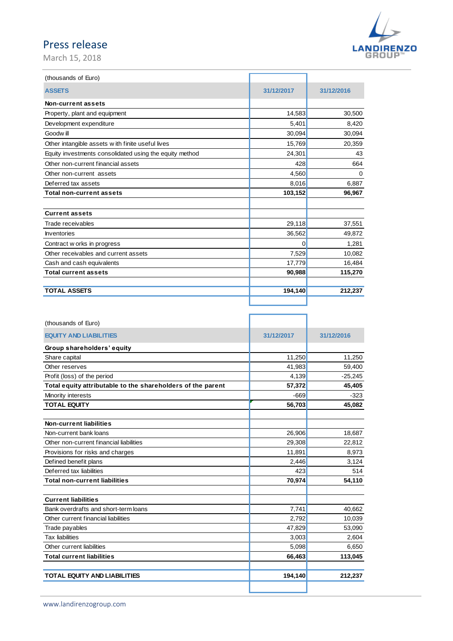March 15, 2018



ä

| (thousands of Euro)                                     |            |            |
|---------------------------------------------------------|------------|------------|
| <b>ASSETS</b>                                           | 31/12/2017 | 31/12/2016 |
| Non-current assets                                      |            |            |
| Property, plant and equipment                           | 14,583     | 30,500     |
| Development expenditure                                 | 5,401      | 8,420      |
| Goodw ill                                               | 30,094     | 30,094     |
| Other intangible assets w ith finite useful lives       | 15,769     | 20,359     |
| Equity investments consolidated using the equity method | 24,301     | 43         |
| Other non-current financial assets                      | 428        | 664        |
| Other non-current assets                                | 4,560      | $\Omega$   |
| Deferred tax assets                                     | 8,016      | 6,887      |
| <b>Total non-current assets</b>                         | 103,152    | 96,967     |
|                                                         |            |            |
| <b>Current assets</b>                                   |            |            |
| Trade receivables                                       | 29,118     | 37,551     |
| <b>Inventories</b>                                      | 36,562     | 49,872     |
| Contract w orks in progress                             | 0          | 1,281      |
| Other receivables and current assets                    | 7,529      | 10,082     |
| Cash and cash equivalents                               | 17,779     | 16,484     |
| <b>Total current assets</b>                             | 90,988     | 115,270    |
| <b>TOTAL ASSETS</b>                                     | 194,140    | 212,237    |
|                                                         |            |            |

| (thousands of Euro)                                         |            |            |
|-------------------------------------------------------------|------------|------------|
| <b>EQUITY AND LIABILITIES</b>                               | 31/12/2017 | 31/12/2016 |
| Group shareholders' equity                                  |            |            |
| Share capital                                               | 11,250     | 11,250     |
| Other reserves                                              | 41,983     | 59,400     |
| Profit (loss) of the period                                 | 4,139      | $-25,245$  |
| Total equity attributable to the shareholders of the parent | 57,372     | 45,405     |
| Minority interests                                          | $-669$     | $-323$     |
| <b>TOTAL EQUITY</b>                                         | 56,703     | 45,082     |
|                                                             |            |            |
| <b>Non-current liabilities</b>                              |            |            |
| Non-current bank loans                                      | 26,906     | 18,687     |
| Other non-current financial liabilities                     | 29,308     | 22,812     |
| Provisions for risks and charges                            | 11,891     | 8,973      |
| Defined benefit plans                                       | 2,446      | 3,124      |
| Deferred tax liabilities                                    | 423        | 514        |
| <b>Total non-current liabilities</b>                        | 70,974     | 54,110     |
| <b>Current liabilities</b>                                  |            |            |
| Bank overdrafts and short-term loans                        | 7,741      | 40,662     |
| Other current financial liabilities                         | 2,792      | 10,039     |
| Trade payables                                              | 47,829     | 53,090     |
| <b>Tax liabilities</b>                                      | 3,003      | 2,604      |
| Other current liabilities                                   | 5,098      | 6,650      |
| <b>Total current liabilities</b>                            | 66,463     | 113,045    |
| <b>TOTAL EQUITY AND LIABILITIES</b>                         | 194,140    | 212,237    |
|                                                             |            |            |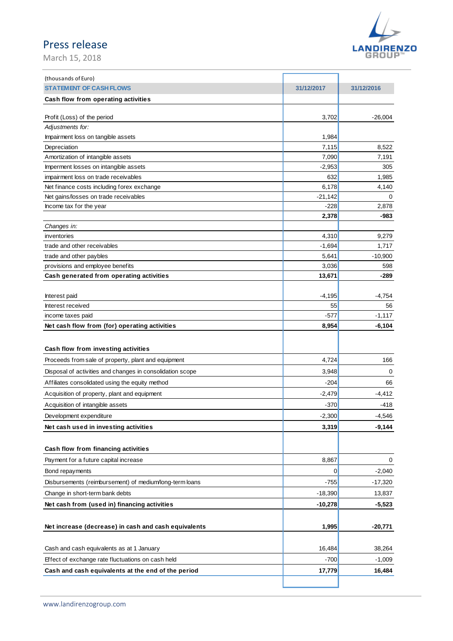March 15, 2018



| (thousands of Euro)                                       |                |            |
|-----------------------------------------------------------|----------------|------------|
| <b>STATEMENT OF CASH FLOWS</b>                            | 31/12/2017     | 31/12/2016 |
| Cash flow from operating activities                       |                |            |
|                                                           |                |            |
| Profit (Loss) of the period                               | 3,702          | $-26,004$  |
| Adjustments for:                                          |                |            |
| Impairment loss on tangible assets                        | 1,984          |            |
| Depreciation                                              | 7,115          | 8,522      |
| Amortization of intangible assets                         | 7,090          | 7,191      |
| Imperment losses on intangible assets                     | $-2,953$       | 305        |
| impairment loss on trade receivables                      | 632            | 1,985      |
| Net finance costs including forex exchange                | 6,178          | 4,140      |
| Net gains/losses on trade receivables                     | $-21,142$      | 0          |
| Income tax for the year                                   | -228           | 2,878      |
|                                                           | 2,378          | -983       |
| Changes in:                                               |                |            |
| inventories                                               | 4,310          | 9,279      |
| trade and other receivables                               | $-1,694$       | 1,717      |
| trade and other paybles                                   | 5,641          | $-10,900$  |
| provisions and employee benefits                          | 3,036          | 598        |
| Cash generated from operating activities                  | 13,671         | -289       |
|                                                           |                |            |
| Interest paid                                             | $-4,195$       | -4,754     |
| Interest received                                         | 55             | 56         |
| income taxes paid                                         | -577           | $-1,117$   |
| Net cash flow from (for) operating activities             | 8,954          | $-6,104$   |
|                                                           |                |            |
| Cash flow from investing activities                       |                |            |
| Proceeds from sale of property, plant and equipment       | 4,724          | 166        |
| Disposal of activities and changes in consolidation scope | 3,948          | 0          |
| Affiliates consolidated using the equity method           | $-204$         |            |
|                                                           |                | 66         |
| Acquisition of property, plant and equipment              | $-2,479$       | $-4,412$   |
| Acquisition of intangible assets                          | -370           | $-418$     |
| Development expenditure                                   | $-2,300$       | $-4,546$   |
| Net cash used in investing activities                     | 3,319          | $-9,144$   |
|                                                           |                |            |
| Cash flow from financing activities                       |                |            |
| Payment for a future capital increase                     | 8,867          | 0          |
| Bond repayments                                           | $\overline{0}$ | $-2,040$   |
| Disbursements (reimbursement) of medium/long-term loans   |                |            |
|                                                           | $-755$         | $-17,320$  |
| Change in short-term bank debts                           | $-18,390$      | 13,837     |
| Net cash from (used in) financing activities              | $-10,278$      | $-5,523$   |
|                                                           |                |            |
| Net increase (decrease) in cash and cash equivalents      | 1,995          | $-20,771$  |
|                                                           |                |            |
| Cash and cash equivalents as at 1 January                 | 16,484         | 38,264     |
| Effect of exchange rate fluctuations on cash held         | $-700$         | $-1,009$   |
| Cash and cash equivalents at the end of the period        | 17,779         | 16,484     |
|                                                           |                |            |
|                                                           |                |            |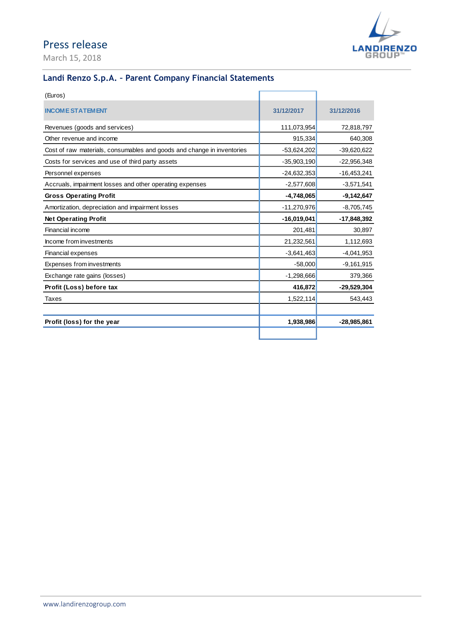March 15, 2018



### **Landi Renzo S.p.A. – Parent Company Financial Statements**

| (Euros)                                                                |               |               |
|------------------------------------------------------------------------|---------------|---------------|
| <b>INCOME STATEMENT</b>                                                | 31/12/2017    | 31/12/2016    |
| Revenues (goods and services)                                          | 111,073,954   | 72,818,797    |
| Other revenue and income                                               | 915,334       | 640,308       |
| Cost of raw materials, consumables and goods and change in inventories | $-53,624,202$ | $-39,620,622$ |
| Costs for services and use of third party assets                       | $-35,903,190$ | $-22,956,348$ |
| Personnel expenses                                                     | $-24,632,353$ | $-16,453,241$ |
| Accruals, impairment losses and other operating expenses               | $-2,577,608$  | $-3,571,541$  |
| <b>Gross Operating Profit</b>                                          | $-4,748,065$  | $-9,142,647$  |
| Amortization, depreciation and impairment losses                       | $-11,270,976$ | $-8,705,745$  |
| <b>Net Operating Profit</b>                                            | $-16,019,041$ | -17,848,392   |
| Financial income                                                       | 201,481       | 30,897        |
| Income from investments                                                | 21,232,561    | 1,112,693     |
| Financial expenses                                                     | $-3,641,463$  | $-4,041,953$  |
| Expenses from investments                                              | $-58,000$     | $-9,161,915$  |
| Exchange rate gains (losses)                                           | $-1,298,666$  | 379,366       |
| Profit (Loss) before tax                                               | 416,872       | $-29,529,304$ |
|                                                                        |               |               |
| Taxes                                                                  | 1,522,114     | 543,443       |
| Profit (loss) for the year                                             | 1,938,986     | $-28,985,861$ |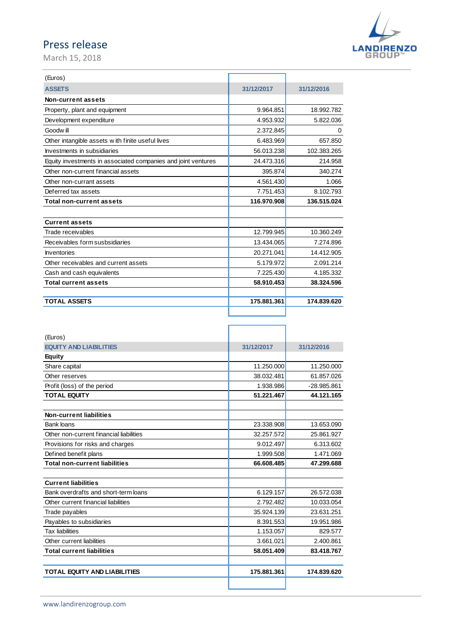March 15, 2018



| (Euros)                                                       |             |             |
|---------------------------------------------------------------|-------------|-------------|
| <b>ASSETS</b>                                                 | 31/12/2017  | 31/12/2016  |
| Non-current assets                                            |             |             |
| Property, plant and equipment                                 | 9.964.851   | 18.992.782  |
| Development expenditure                                       | 4.953.932   | 5.822.036   |
| Goodw ill                                                     | 2.372.845   | 0           |
| Other intangible assets with finite useful lives              | 6.483.969   | 657.850     |
| Investments in subsidiaries                                   | 56.013.238  | 102.383.265 |
| Equity investments in associated companies and joint ventures | 24.473.316  | 214.958     |
| Other non-current financial assets                            | 395.874     | 340.274     |
| Other non-currant assets                                      | 4.561.430   | 1.066       |
| Deferred tax assets                                           | 7.751.453   | 8.102.793   |
| <b>Total non-current assets</b>                               | 116.970.908 | 136.515.024 |
|                                                               |             |             |
| <b>Current assets</b>                                         |             |             |
| Trade receivables                                             | 12.799.945  | 10.360.249  |
| Receivables form susbsidiaries                                | 13.434.065  | 7.274.896   |
| <b>Inventories</b>                                            | 20.271.041  | 14.412.905  |
| Other receivables and current assets                          | 5.179.972   | 2.091.214   |
| Cash and cash equivalents                                     | 7.225.430   | 4.185.332   |
| <b>Total current assets</b>                                   | 58.910.453  | 38.324.596  |
| <b>TOTAL ASSETS</b>                                           | 175.881.361 | 174.839.620 |
|                                                               |             |             |

| (Euros)                                 |             |               |
|-----------------------------------------|-------------|---------------|
| <b>EQUITY AND LIABILITIES</b>           | 31/12/2017  | 31/12/2016    |
| <b>Equity</b>                           |             |               |
| Share capital                           | 11.250.000  | 11.250.000    |
| Other reserves                          | 38.032.481  | 61.857.026    |
| Profit (loss) of the period             | 1.938.986   | $-28.985.861$ |
| <b>TOTAL EQUITY</b>                     | 51.221.467  | 44.121.165    |
| Non-current liabilities                 |             |               |
| <b>Bank loans</b>                       | 23.338.908  | 13.653.090    |
| Other non-current financial liabilities | 32.257.572  | 25.861.927    |
| Provisions for risks and charges        | 9.012.497   | 6.313.602     |
| Defined benefit plans                   | 1.999.508   | 1.471.069     |
| <b>Total non-current liabilities</b>    | 66.608.485  | 47.299.688    |
|                                         |             |               |
| <b>Current liabilities</b>              |             |               |
| Bank overdrafts and short-term loans    | 6.129.157   | 26.572.038    |
| Other current financial liabilities     | 2.792.482   | 10.033.054    |
| Trade payables                          | 35.924.139  | 23.631.251    |
| Payables to subsidiaries                | 8.391.553   | 19.951.986    |
| <b>Tax liabilities</b>                  | 1.153.057   | 829.577       |
| Other current liabilities               | 3.661.021   | 2.400.861     |
| <b>Total current liabilities</b>        | 58.051.409  | 83.418.767    |
| <b>TOTAL EQUITY AND LIABILITIES</b>     | 175.881.361 | 174.839.620   |
|                                         |             |               |